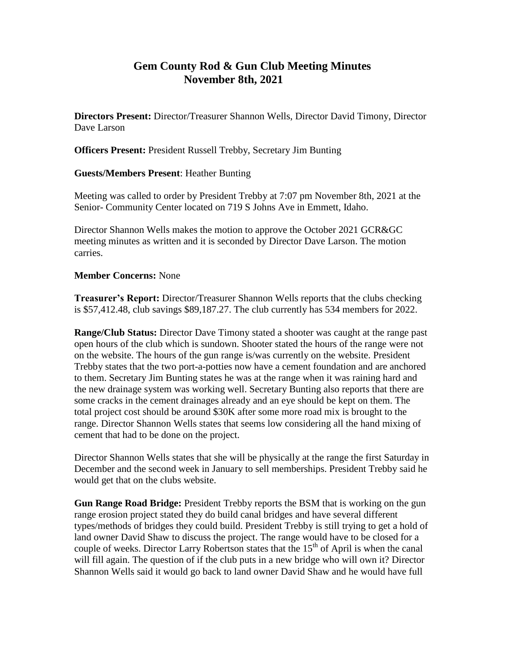## **Gem County Rod & Gun Club Meeting Minutes November 8th, 2021**

**Directors Present:** Director/Treasurer Shannon Wells, Director David Timony, Director Dave Larson

**Officers Present:** President Russell Trebby, Secretary Jim Bunting

## **Guests/Members Present**: Heather Bunting

Meeting was called to order by President Trebby at 7:07 pm November 8th, 2021 at the Senior- Community Center located on 719 S Johns Ave in Emmett, Idaho.

Director Shannon Wells makes the motion to approve the October 2021 GCR&GC meeting minutes as written and it is seconded by Director Dave Larson. The motion carries.

## **Member Concerns:** None

**Treasurer's Report:** Director/Treasurer Shannon Wells reports that the clubs checking is \$57,412.48, club savings \$89,187.27. The club currently has 534 members for 2022.

**Range/Club Status:** Director Dave Timony stated a shooter was caught at the range past open hours of the club which is sundown. Shooter stated the hours of the range were not on the website. The hours of the gun range is/was currently on the website. President Trebby states that the two port-a-potties now have a cement foundation and are anchored to them. Secretary Jim Bunting states he was at the range when it was raining hard and the new drainage system was working well. Secretary Bunting also reports that there are some cracks in the cement drainages already and an eye should be kept on them. The total project cost should be around \$30K after some more road mix is brought to the range. Director Shannon Wells states that seems low considering all the hand mixing of cement that had to be done on the project.

Director Shannon Wells states that she will be physically at the range the first Saturday in December and the second week in January to sell memberships. President Trebby said he would get that on the clubs website.

**Gun Range Road Bridge:** President Trebby reports the BSM that is working on the gun range erosion project stated they do build canal bridges and have several different types/methods of bridges they could build. President Trebby is still trying to get a hold of land owner David Shaw to discuss the project. The range would have to be closed for a couple of weeks. Director Larry Robertson states that the  $15<sup>th</sup>$  of April is when the canal will fill again. The question of if the club puts in a new bridge who will own it? Director Shannon Wells said it would go back to land owner David Shaw and he would have full